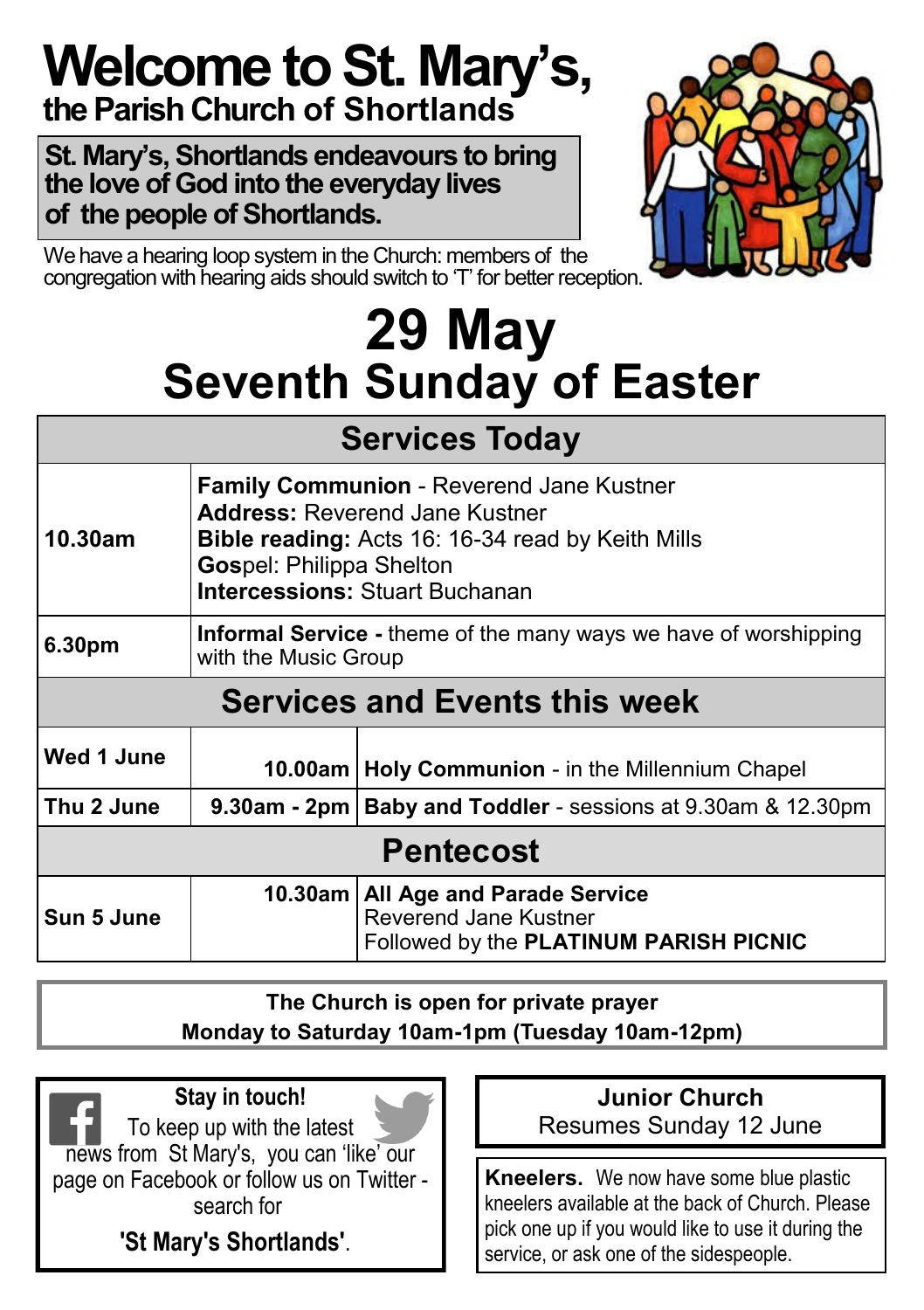## **Welcome to St. Mary's, the Parish Church of Shortlands**

**St. Mary's, Shortlands endeavours to bring the love of God into the everyday lives of the people of Shortlands.** 



We have a hearing loop system in the Church: members of the congregation with hearing aids should switch to 'T' for better reception.

# **29 May Seventh Sunday of Easter**

### **Services Today**

| 10.30am                              | <b>Family Communion - Reverend Jane Kustner</b><br><b>Address: Reverend Jane Kustner</b><br><b>Bible reading:</b> Acts 16: 16-34 read by Keith Mills<br><b>Gospel: Philippa Shelton</b><br><b>Intercessions: Stuart Buchanan</b> |                                                                                                         |  |
|--------------------------------------|----------------------------------------------------------------------------------------------------------------------------------------------------------------------------------------------------------------------------------|---------------------------------------------------------------------------------------------------------|--|
| 6.30pm                               | <b>Informal Service - theme of the many ways we have of worshipping</b><br>with the Music Group                                                                                                                                  |                                                                                                         |  |
| <b>Services and Events this week</b> |                                                                                                                                                                                                                                  |                                                                                                         |  |
| Wed 1 June                           |                                                                                                                                                                                                                                  | 10.00am   Holy Communion - in the Millennium Chapel                                                     |  |
| Thu 2 June                           |                                                                                                                                                                                                                                  | 9.30am - 2pm   Baby and Toddler - sessions at 9.30am & 12.30pm                                          |  |
| <b>Pentecost</b>                     |                                                                                                                                                                                                                                  |                                                                                                         |  |
| Sun 5 June                           |                                                                                                                                                                                                                                  | 10.30am   All Age and Parade Service<br>Reverend Jane Kustner<br>Followed by the PLATINUM PARISH PICNIC |  |

#### **The Church is open for private prayer Monday to Saturday 10am-1pm (Tuesday 10am-12pm)**



**Junior Church** Resumes Sunday 12 June

**Kneelers.** We now have some blue plastic kneelers available at the back of Church. Please pick one up if you would like to use it during the service, or ask one of the sidespeople.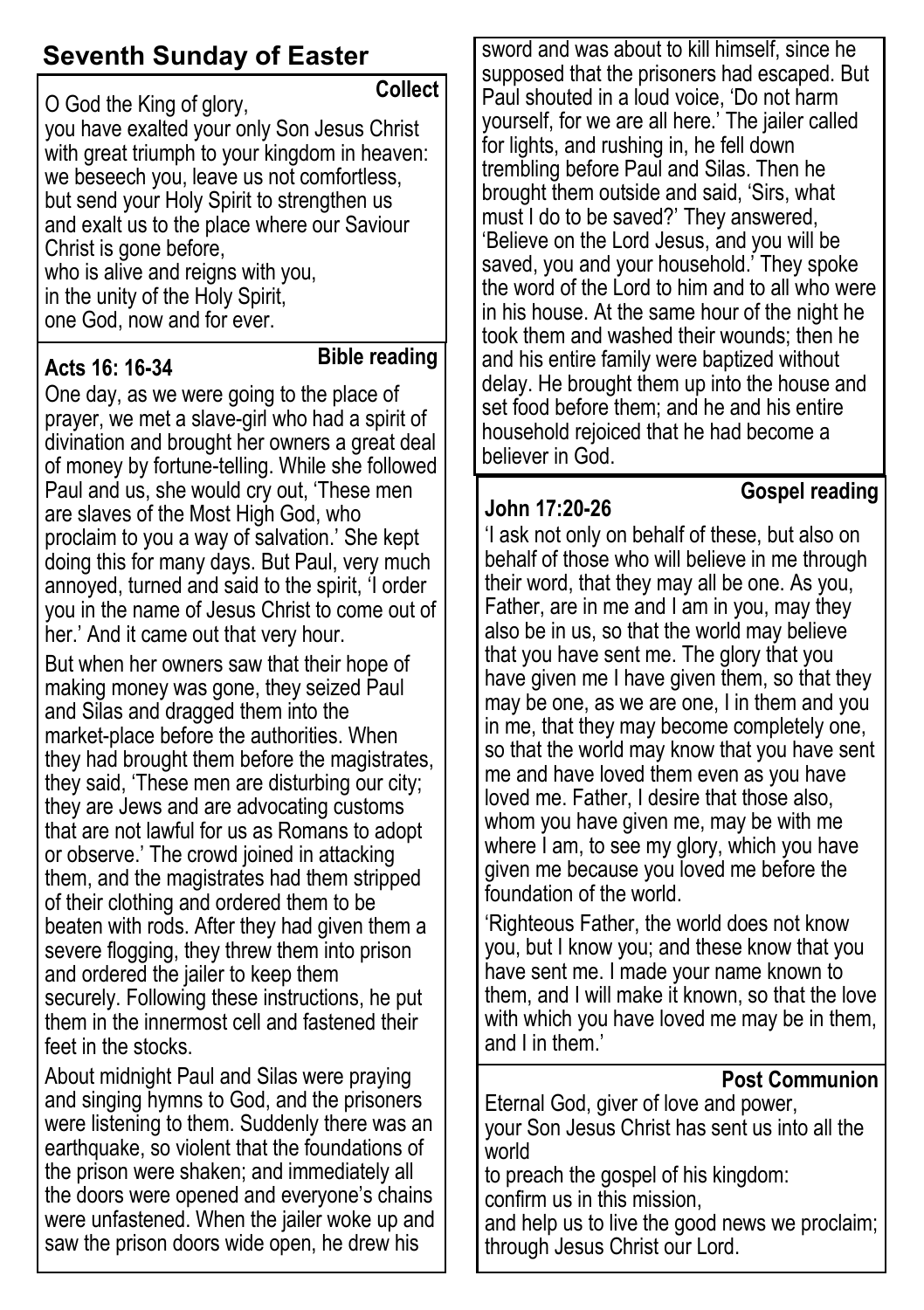### **Seventh Sunday of Easter**

**Collect** O God the King of glory, you have exalted your only Son Jesus Christ with great triumph to your kingdom in heaven: we beseech you, leave us not comfortless, but send your Holy Spirit to strengthen us and exalt us to the place where our Saviour Christ is gone before, who is alive and reigns with you. in the unity of the Holy Spirit, one God, now and for ever.

**Bible reading Acts 16: 16-34**

One day, as we were going to the place of prayer, we met a slave-girl who had a spirit of divination and brought her owners a great deal of money by fortune-telling. While she followed Paul and us, she would cry out, 'These men are slaves of the Most High God, who proclaim to you a way of salvation.' She kept doing this for many days. But Paul, very much annoyed, turned and said to the spirit, 'I order you in the name of Jesus Christ to come out of her.' And it came out that very hour.

But when her owners saw that their hope of making money was gone, they seized Paul and Silas and dragged them into the market-place before the authorities. When they had brought them before the magistrates, they said, 'These men are disturbing our city; they are Jews and are advocating customs that are not lawful for us as Romans to adopt or observe.' The crowd joined in attacking them, and the magistrates had them stripped of their clothing and ordered them to be beaten with rods. After they had given them a severe flogging, they threw them into prison and ordered the jailer to keep them securely. Following these instructions, he put them in the innermost cell and fastened their feet in the stocks.

About midnight Paul and Silas were praying and singing hymns to God, and the prisoners were listening to them. Suddenly there was an earthquake, so violent that the foundations of the prison were shaken; and immediately all the doors were opened and everyone's chains were unfastened. When the jailer woke up and saw the prison doors wide open, he drew his

sword and was about to kill himself, since he supposed that the prisoners had escaped. But Paul shouted in a loud voice, 'Do not harm yourself, for we are all here.' The jailer called for lights, and rushing in, he fell down trembling before Paul and Silas. Then he brought them outside and said, 'Sirs, what must I do to be saved?' They answered, 'Believe on the Lord Jesus, and you will be saved, you and your household.' They spoke the word of the Lord to him and to all who were in his house. At the same hour of the night he took them and washed their wounds; then he and his entire family were baptized without delay. He brought them up into the house and set food before them; and he and his entire household rejoiced that he had become a believer in God.

#### **John 17:20-26**

#### **Gospel reading**

'I ask not only on behalf of these, but also on behalf of those who will believe in me through their word, that they may all be one. As you, Father, are in me and I am in you, may they also be in us, so that the world may believe that you have sent me. The glory that you have given me I have given them, so that they may be one, as we are one, I in them and you in me, that they may become completely one, so that the world may know that you have sent me and have loved them even as you have loved me. Father, I desire that those also, whom you have given me, may be with me where I am, to see my glory, which you have given me because you loved me before the foundation of the world.

'Righteous Father, the world does not know you, but I know you; and these know that you have sent me. I made your name known to them, and I will make it known, so that the love with which you have loved me may be in them. and I in them.'

#### **Post Communion**

Eternal God, giver of love and power, your Son Jesus Christ has sent us into all the world

to preach the gospel of his kingdom: confirm us in this mission,

and help us to live the good news we proclaim; through Jesus Christ our Lord.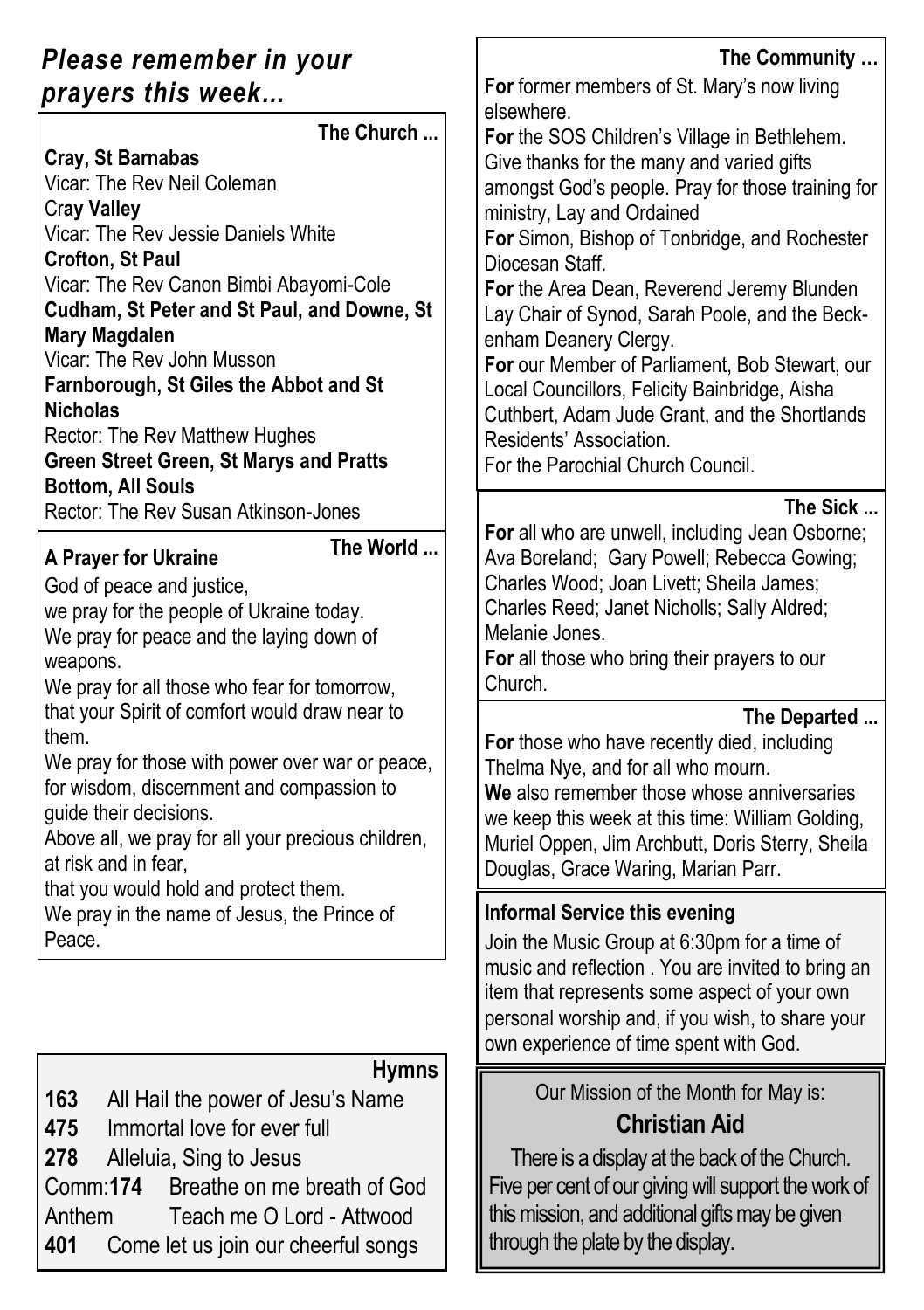| Please remember in your                                                                                                                                                                                                                                                                                                                                                           | The Community                                                                                                                                                                                                                                                                                                                                                                                                                                                                                                                               |
|-----------------------------------------------------------------------------------------------------------------------------------------------------------------------------------------------------------------------------------------------------------------------------------------------------------------------------------------------------------------------------------|---------------------------------------------------------------------------------------------------------------------------------------------------------------------------------------------------------------------------------------------------------------------------------------------------------------------------------------------------------------------------------------------------------------------------------------------------------------------------------------------------------------------------------------------|
|                                                                                                                                                                                                                                                                                                                                                                                   | For former members of St. Mary's now living                                                                                                                                                                                                                                                                                                                                                                                                                                                                                                 |
| prayers this week<br>The Church<br>Cray, St Barnabas<br>Vicar: The Rev Neil Coleman<br><b>Cray Valley</b><br>Vicar: The Rev Jessie Daniels White<br>Crofton, St Paul<br>Vicar: The Rev Canon Bimbi Abayomi-Cole<br>Cudham, St Peter and St Paul, and Downe, St<br><b>Mary Magdalen</b><br>Vicar: The Rev John Musson<br>Farnborough, St Giles the Abbot and St<br><b>Nicholas</b> | elsewhere.<br>For the SOS Children's Village in Bethlehem.<br>Give thanks for the many and varied gifts<br>amongst God's people. Pray for those training for<br>ministry, Lay and Ordained<br>For Simon, Bishop of Tonbridge, and Rochester<br>Diocesan Staff.<br>For the Area Dean, Reverend Jeremy Blunden<br>Lay Chair of Synod, Sarah Poole, and the Beck-<br>enham Deanery Clergy.<br>For our Member of Parliament, Bob Stewart, our<br>Local Councillors, Felicity Bainbridge, Aisha<br>Cuthbert, Adam Jude Grant, and the Shortlands |
| Rector: The Rev Matthew Hughes<br><b>Green Street Green, St Marys and Pratts</b>                                                                                                                                                                                                                                                                                                  | Residents' Association.                                                                                                                                                                                                                                                                                                                                                                                                                                                                                                                     |
| <b>Bottom, All Souls</b>                                                                                                                                                                                                                                                                                                                                                          | For the Parochial Church Council.                                                                                                                                                                                                                                                                                                                                                                                                                                                                                                           |
| Rector: The Rev Susan Atkinson-Jones<br>The World<br>A Prayer for Ukraine<br>God of peace and justice,<br>we pray for the people of Ukraine today.<br>We pray for peace and the laying down of<br>weapons.<br>We pray for all those who fear for tomorrow,                                                                                                                        | The Sick<br>For all who are unwell, including Jean Osborne;<br>Ava Boreland; Gary Powell; Rebecca Gowing;<br>Charles Wood; Joan Livett; Sheila James;<br>Charles Reed; Janet Nicholls; Sally Aldred;<br>Melanie Jones.<br>For all those who bring their prayers to our<br>Church.                                                                                                                                                                                                                                                           |
| that your Spirit of comfort would draw near to<br>them.<br>We pray for those with power over war or peace,<br>for wisdom, discernment and compassion to<br>guide their decisions.<br>Above all, we pray for all your precious children,<br>at risk and in fear,<br>that you would hold and protect them.                                                                          | The Departed<br>For those who have recently died, including<br>Thelma Nye, and for all who mourn.<br>We also remember those whose anniversaries<br>we keep this week at this time: William Golding,<br>Muriel Oppen, Jim Archbutt, Doris Sterry, Sheila<br>Douglas, Grace Waring, Marian Parr.                                                                                                                                                                                                                                              |
| We pray in the name of Jesus, the Prince of                                                                                                                                                                                                                                                                                                                                       | <b>Informal Service this evening</b>                                                                                                                                                                                                                                                                                                                                                                                                                                                                                                        |
| Peace.                                                                                                                                                                                                                                                                                                                                                                            | Join the Music Group at 6:30pm for a time of<br>music and reflection. You are invited to bring an<br>item that represents some aspect of your own<br>personal worship and, if you wish, to share your<br>own experience of time spent with God.                                                                                                                                                                                                                                                                                             |
| <b>Hymns</b><br>163<br>All Hail the power of Jesu's Name<br>475<br>Immortal love for ever full<br>278<br>Alleluia, Sing to Jesus<br>Comm:174<br>Breathe on me breath of God<br>Teach me O Lord - Attwood<br>Anthem<br>401<br>Come let us join our cheerful songs                                                                                                                  | Our Mission of the Month for May is:<br><b>Christian Aid</b><br>There is a display at the back of the Church.<br>Five per cent of our giving will support the work of<br>this mission, and additional gifts may be given<br>through the plate by the display.                                                                                                                                                                                                                                                                               |